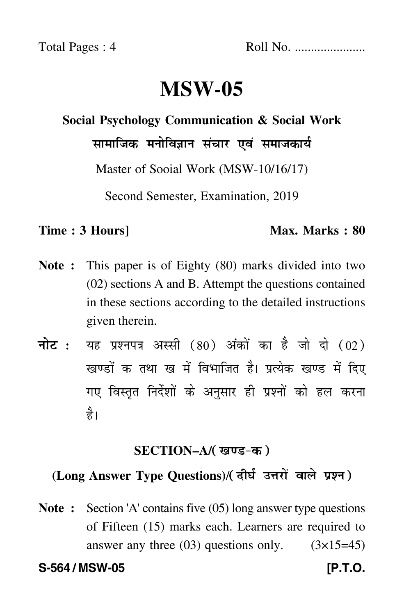Total Pages : 4 Roll No. ......................

# **MSW-05**

## **Social Psychology Communication & Social Work**

सामाजिक मनोविज्ञान संचार एवं समाजकार्य

Master of Sooial Work (MSW-10/16/17)

Second Semester, Examination, 2019

#### **Time : 3 Hours]** Max. Marks : 80

- **Note :** This paper is of Eighty (80) marks divided into two (02) sections A and B. Attempt the questions contained in these sections according to the detailed instructions given therein.
- नोट : यह प्रश्नपत्र अस्सी (80) अंकों का है जो दो (02) खण्डों क तथा ख में विभाजित है। प्रत्येक खण्ड में दिए गए विस्तृत निर्देशों के अनुसार ही प्रश्नों को हल करन<mark>ा</mark> है।

### <u>SECTION–A</u>/( खण्ड-क )

### (Long Answer Type Questions)/( दीर्घ उत्तरों वाले प्रश्न )

**Note :** Section 'A' contains five (05) long answer type questions of Fifteen (15) marks each. Learners are required to answer any three  $(03)$  questions only.  $(3\times15=45)$ 

**S-564 / MSW-05 [P.T.O.**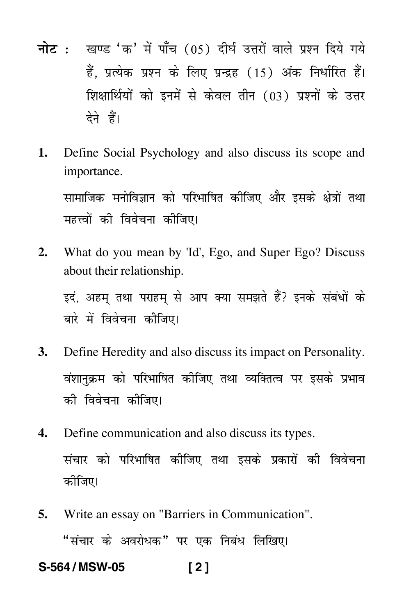- <mark>नोट</mark> : खण्ड 'क' में पाँच (05) दीर्घ उत्तरों वाले प्रश्न दिये गये हैं, प्रत्येक प्रश्न के लिए प्रन्द्रह (15) अंक निर्धारित हैं। शिक्षार्थियों को इनमें से केवल तीन (03) प्रश्नों के उत्तर देने हैं।
- **1.** Define Social Psychology and also discuss its scope and importance.

सामाजिक मनोविज्ञान को परिभाषित कीजिए और इसके क्षेत्रों तथ ---महत्त्वों की विवेचना कीजिए। -

**2.** What do you mean by 'Id', Ego, and Super Ego? Discuss about their relationship.

इदं, अहम् तथा पराहम् से आप क्या समझते हैं? इनके संबंधों के -बारे में विवेचना कीजिए।

- **3.** Define Heredity and also discuss its impact on Personality. वंशानुक्रम को परिभाषित कीजिए तथा व्यक्तित्व पर इसके प्रभाव ----को विवेचना कीजिए।
- **4.** Define communication and also discuss its types. संचार को परिभाषित कीजिए तथा इसके प्रकारों की विवेचना --कीजिए।
- **5.** Write an essay on "Barriers in Communication". "संचार के अवरोधक" पर एक निबंध लिखिए।

**S-564 / MSW-05 [ 2 ]**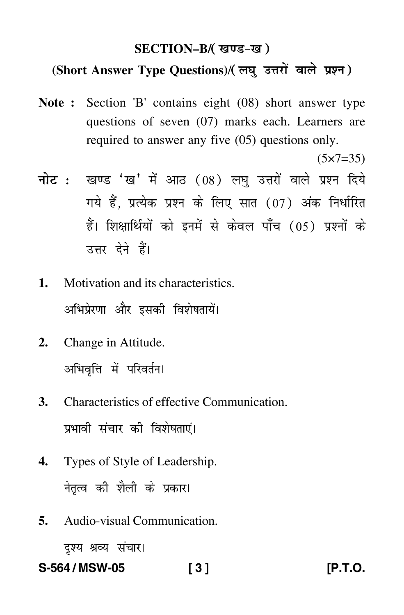### SECTION–B/( खण्ड-ख )

### (Short Answer Type Questions)/(लघु उत्तरों वाले प्रश्न)

- **Note :** Section 'B' contains eight (08) short answer type questions of seven (07) marks each. Learners are required to answer any five (05) questions only.
- <mark>नोट</mark> : खण्ड 'ख' में आठ (08) लघु उत्तरों वाले प्रश्न दिये गये हैं, प्रत्येक प्रश्न के लिए सात (07) अंक निर्धारित हैं। शिक्षार्थियों को इनमें से केवल पाँच (05) प्रश्नों के उत्तर देने हैं।
- **1.** Motivation and its characteristics. अभिप्रेरणा और इसकी विशेषतायें। -
- **2.** Change in Attitude. अभिवृत्ति में परिवर्तन।
- **3.** Characteristics of effective Communication. प्रभावी संचार की विशेषताएं। -
- **4.** Types of Style of Leadership. नेतृत्व की शैली के प्रकार।
- **5.** Audio-visual Communication.

दृश्य-श्रव्य संचार।

**S-564 / MSW-05 [ 3 ] [P.T.O.**

 $(5 \times 7 = 35)$